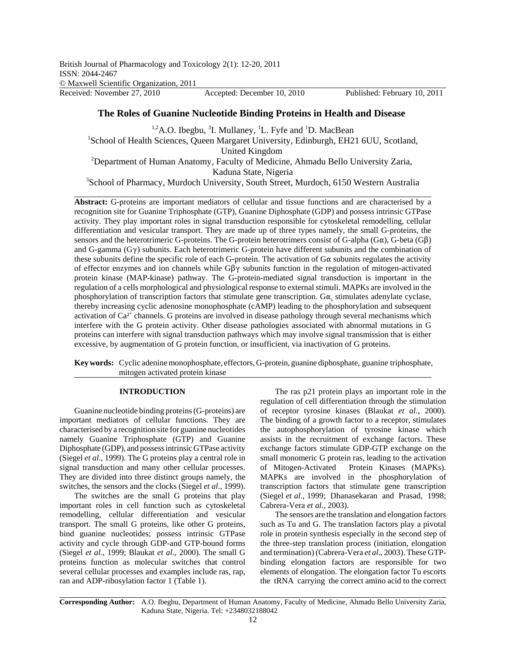# **The Roles of Guanine Nucleotide Binding Proteins in Health and Disease**

<sup>1,2</sup>A.O. Ibegbu, <sup>3</sup>I. Mullaney, <sup>1</sup>L. Fyfe and <sup>1</sup>D. MacBean <sup>1</sup>School of Health Sciences, Queen Margaret University, Edinburgh, EH21 6UU, Scotland, United Kingdom<br><sup>2</sup>Department of Human Anatomy, Faculty of Medicine, Ahmadu Bello University Zaria, Kaduna State, Nigeria

<sup>3</sup>School of Pharmacy, Murdoch University, South Street, Murdoch, 6150 Western Australia

**Abstract:** G-proteins are important mediators of cellular and tissue functions and are characterised by a recognition site for Guanine Triphosphate (GTP), Guanine Diphosphate (GDP) and possess intrinsic GTPase activity. They play important roles in signal transduction responsible for cytoskeletal remodelling, cellular differentiation and vesicular transport. They are made up of three types namely, the small G-proteins, the sensors and the heterotrimeric G-proteins. The G-protein heterotrimers consist of G-alpha (G $\alpha$ ), G-beta (G $\beta$ ) and G-gamma  $(G\gamma)$  subunits. Each heterotrimeric G-protein have different subunits and the combination of these subunits define the specific role of each G-protein. The activation of  $G\alpha$  subunits regulates the activity of effector enzymes and ion channels while  $G\beta\gamma$  subunits function in the regulation of mitogen-activated protein kinase (MAP-kinase) pathway. The G-protein-mediated signal transduction is important in the regulation of a cells morphological and physiological response to external stimuli. MAPKs are involved in the phosphorylation of transcription factors that stimulate gene transcription.  $G\alpha_s$  stimulates adenylate cyclase, thereby increasing cyclic adenosine monophosphate (cAMP) leading to the phosphorylation and subsequent activation of Ca<sup>2+</sup> channels. G proteins are involved in disease pathology through several mechanisms which interfere with the G protein activity. Other disease pathologies associated with abnormal mutations in G proteins can interfere with signal transduction pathways which may involve signal transmission that is either excessive, by augmentation of G protein function, or insufficient, via inactivation of G proteins.

**Key words:** Cyclic adenine monophosphate, effectors, G-protein, guanine diphosphate, guanine triphosphate, mitogen activated protein kinase

# **INTRODUCTION**

Guanine nucleotide binding proteins (G-proteins) are important mediators of cellular functions. They are characterised by a recognition site for guanine nucleotides namely Guanine Triphosphate (GTP) and Guanine Diphosphate (GDP), and possess intrinsic GTPase activity (Siegel *et al*., 1999). The G proteins play a central role in signal transduction and many other cellular processes. They are divided into three distinct groups namely, the switches, the sensors and the clocks (Siegel *et al*., 1999).

The switches are the small G proteins that play important roles in cell function such as cytoskeletal remodelling, cellular differentiation and vesicular transport. The small G proteins, like other G proteins, bind guanine nucleotides; possess intrinsic GTPase activity and cycle through GDP-and GTP-bound forms (Siegel *et al*., 1999; Blaukat *et al*., 2000). The small G proteins function as molecular switches that control several cellular processes and examples include ras, rap, ran and ADP-ribosylation factor 1 (Table 1).

The ras p21 protein plays an important role in the regulation of cell differentiation through the stimulation of receptor tyrosine kinases (Blaukat *et al*., 2000). The binding of a growth factor to a receptor, stimulates the autophosphorylation of tyrosine kinase which assists in the recruitment of exchange factors. These exchange factors stimulate GDP-GTP exchange on the small monomeric G protein ras, leading to the activation of Mitogen-Activated Protein Kinases (MAPKs). MAPKs are involved in the phosphorylation of transcription factors that stimulate gene transcription (Siegel *et al*., 1999; Dhanasekaran and Prasad, 1998; Cabrera-Vera *et al*., 2003).

The sensors are the translation and elongation factors such as Tu and G. The translation factors play a pivotal role in protein synthesis especially in the second step of the three-step translation process (initiation, elongation and termination) (Cabrera-Vera *et al*., 2003). These GTPbinding elongation factors are responsible for two elements of elongation. The elongation factor Tu escorts the tRNA carrying the correct amino acid to the correct

**Corresponding Author:** A.O. Ibegbu, Department of Human Anatomy, Faculty of Medicine, Ahmadu Bello University Zaria, Kaduna State, Nigeria. Tel: +2348032188042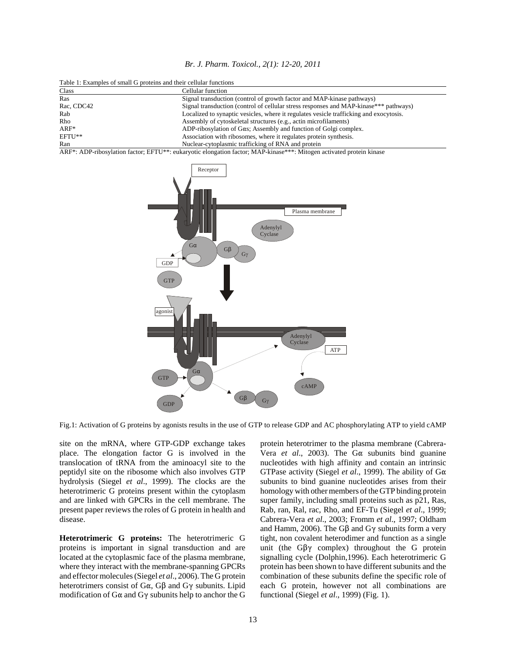| Br. J. Pharm. Toxicol., 2(1): 12-20, 2011 |  |  |  |  |
|-------------------------------------------|--|--|--|--|
|-------------------------------------------|--|--|--|--|

| Table 1: Examples of small G proteins and their cellular functions |                                                                                        |  |  |  |
|--------------------------------------------------------------------|----------------------------------------------------------------------------------------|--|--|--|
| Class                                                              | Cellular function                                                                      |  |  |  |
| Ras                                                                | Signal transduction (control of growth factor and MAP-kinase pathways)                 |  |  |  |
| Rac, CDC42                                                         | Signal transduction (control of cellular stress responses and MAP-kinase*** pathways)  |  |  |  |
| Rab                                                                | Localized to synaptic vesicles, where it regulates vesicle trafficking and exocytosis. |  |  |  |
| Rho                                                                | Assembly of cytoskeletal structures (e.g., actin microfilaments)                       |  |  |  |
| $ARF^*$                                                            | ADP-ribosylation of $G\alpha s$ ; Assembly and function of Golgi complex.              |  |  |  |
| EFTU**                                                             | Association with ribosomes, where it regulates protein synthesis.                      |  |  |  |
| Ran                                                                | Nuclear-cytoplasmic trafficking of RNA and protein                                     |  |  |  |

ARF\*: ADP-ribosylation factor; EFTU\*\*: eukaryotic elongation factor; MAP-kinase\*\*\*: Mitogen activated protein kinase



Fig.1: Activation of G proteins by agonists results in the use of GTP to release GDP and AC phosphorylating ATP to yield cAMP

site on the mRNA, where GTP-GDP exchange takes place. The elongation factor G is involved in the translocation of tRNA from the aminoacyl site to the peptidyl site on the ribosome which also involves GTP hydrolysis (Siegel *et al*., 1999). The clocks are the heterotrimeric G proteins present within the cytoplasm and are linked with GPCRs in the cell membrane. The present paper reviews the roles of G protein in health and disease.

**Heterotrimeric G proteins:** The heterotrimeric G proteins is important in signal transduction and are located at the cytoplasmic face of the plasma membrane, where they interact with the membrane-spanning GPCRs and effector molecules (Siegel *et al*., 2006). The G protein heterotrimers consist of  $G\alpha$ ,  $G\beta$  and  $G\gamma$  subunits. Lipid modification of  $G\alpha$  and  $G\gamma$  subunits help to anchor the G protein heterotrimer to the plasma membrane (Cabrera-Vera *et al.*, 2003). The G $\alpha$  subunits bind guanine nucleotides with high affinity and contain an intrinsic GTPase activity (Siegel *et al.*, 1999). The ability of G $\alpha$ subunits to bind guanine nucleotides arises from their homology with other members of the GTP binding protein super family, including small proteins such as p21, Ras, Rab, ran, Ral, rac, Rho, and EF-Tu (Siegel *et al*., 1999; Cabrera-Vera *et al*., 2003; Fromm *et al*., 1997; Oldham and Hamm, 2006). The G $\beta$  and G $\gamma$  subunits form a very tight, non covalent heterodimer and function as a single unit (the  $G\beta\gamma$  complex) throughout the G protein signalling cycle (Dolphin,1996). Each heterotrimeric G protein has been shown to have different subunits and the combination of these subunits define the specific role of each G protein, however not all combinations are functional (Siegel *et al*., 1999) (Fig. 1).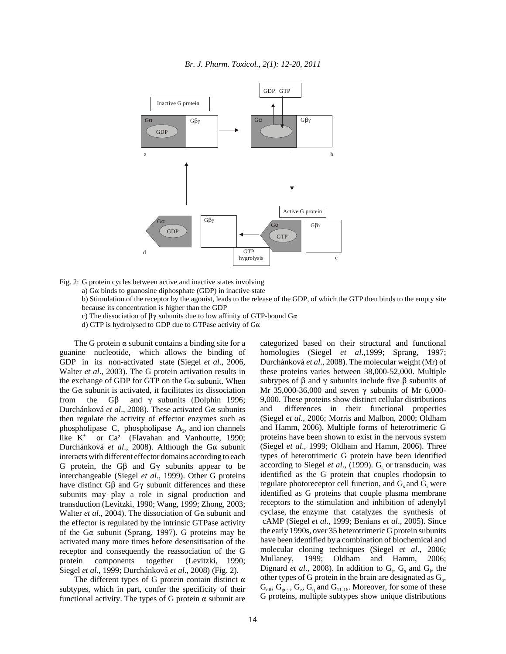

Fig. 2: G protein cycles between active and inactive states involving

a)  $G\alpha$  binds to guanosine diphosphate (GDP) in inactive state

b) Stimulation of the receptor by the agonist, leads to the release of the GDP, of which the GTP then binds to the empty site because its concentration is higher than the GDP

c) The dissociation of  $\beta\gamma$  subunits due to low affinity of GTP-bound G $\alpha$ 

d) GTP is hydrolysed to GDP due to GTPase activity of  $G\alpha$ 

The G protein  $\alpha$  subunit contains a binding site for a guanine nucleotide, which allows the binding of GDP in its non-activated state (Siegel *et al*., 2006, Walter *et al*., 2003). The G protein activation results in the exchange of GDP for GTP on the  $G\alpha$  subunit. When the  $G\alpha$  subunit is activated, it facilitates its dissociation from the  $G\beta$  and  $\gamma$  subunits (Dolphin 1996; Durchánková *et al.*, 2008). These activated Gα subunits then regulate the activity of effector enzymes such as phospholipase  $C$ , phospholipase  $A_2$ , and ion channels like K+ or Ca² (Flavahan and Vanhoutte, 1990; Durchánková *et al.*, 2008). Although the Gα subunit interacts with different effector domains according to each G protein, the  $G\beta$  and  $G\gamma$  subunits appear to be interchangeable (Siegel *et al*., 1999). Other G proteins have distinct  $G\beta$  and  $G\gamma$  subunit differences and these subunits may play a role in signal production and transduction (Levitzki, 1990; Wang, 1999; Zhong, 2003; Walter *et al.*, 2004). The dissociation of  $G\alpha$  subunit and the effector is regulated by the intrinsic GTPase activity of the G $\alpha$  subunit (Sprang, 1997). G proteins may be activated many more times before desensitisation of the receptor and consequently the reassociation of the G protein components together (Levitzki, 1990; Siegel *et al*., 1999; Durchánková *et al*., 2008) (Fig. 2).

The different types of G protein contain distinct  $\alpha$ subtypes, which in part, confer the specificity of their functional activity. The types of G protein  $\alpha$  subunit are categorized based on their structural and functional homologies (Siegel *et al*.,1999; Sprang, 1997; Durchánková *et al*., 2008). The molecular weight (Mr) of these proteins varies between 38,000-52,000. Multiple subtypes of  $\beta$  and  $\gamma$  subunits include five  $\beta$  subunits of Mr 35,000-36,000 and seven  $\gamma$  subunits of Mr 6,000-9,000. These proteins show distinct cellular distributions and differences in their functional properties (Siegel *et al*., 2006; Morris and Malbon, 2000; Oldham and Hamm, 2006). Multiple forms of heterotrimeric G proteins have been shown to exist in the nervous system (Siegel *et al*., 1999; Oldham and Hamm, 2006). Three types of heterotrimeric G protein have been identified according to Siegel *et al.*, (1999).  $G_t$  or transducin, was identified as the G protein that couples rhodopsin to regulate photoreceptor cell function, and  $G_s$  and  $G_i$  were identified as G proteins that couple plasma membrane receptors to the stimulation and inhibition of adenylyl cyclase, the enzyme that catalyzes the synthesis of cAMP (Siegel *et al*., 1999; Benians *et al*., 2005). Since the early 1990s, over 35 heterotrimeric G protein subunits have been identified by a combination of biochemical and molecular cloning techniques (Siegel *et al*., 2006; Mullaney, 1999; Oldham and Hamm, 2006; Dignard *et al.*, 2008). In addition to  $G_t$ ,  $G_s$  and  $G_i$ , the other types of G protein in the brain are designated as  $G_0$ ,  $G_{\text{olf}}$ ,  $G_{\text{gust}}$ ,  $G_z$ ,  $G_q$  and  $G_{11-16}$ . Moreover, for some of these G proteins, multiple subtypes show unique distributions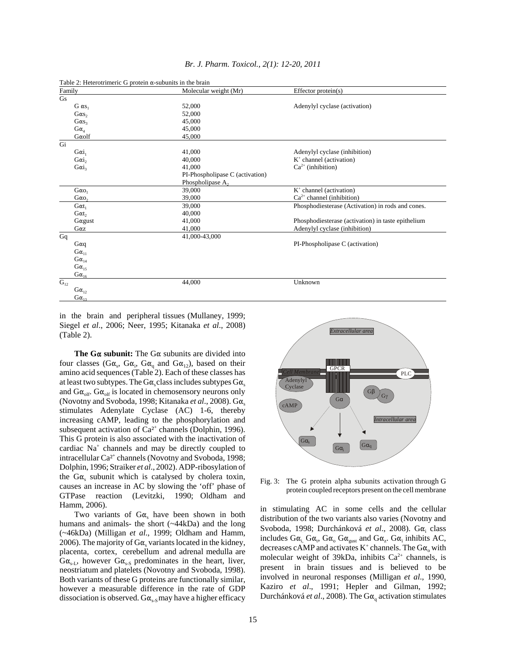| Table 2: Heterotrimeric G protein $\alpha$ -subunits in the brain |                             |                                 |                                                    |  |  |
|-------------------------------------------------------------------|-----------------------------|---------------------------------|----------------------------------------------------|--|--|
| Family                                                            |                             | Molecular weight (Mr)           | Effector protein(s)                                |  |  |
| Gs                                                                |                             |                                 |                                                    |  |  |
|                                                                   | $G \alpha s_1$              | 52,000                          | Adenylyl cyclase (activation)                      |  |  |
|                                                                   | $G\alpha s_2$               | 52,000                          |                                                    |  |  |
|                                                                   | $G\alpha s_3$               | 45,000                          |                                                    |  |  |
|                                                                   | $G\alpha_4$                 | 45,000                          |                                                    |  |  |
|                                                                   | $G\alpha$ olf               | 45,000                          |                                                    |  |  |
| Gi                                                                |                             |                                 |                                                    |  |  |
|                                                                   | $G\alpha i_1$               | 41,000                          | Adenylyl cyclase (inhibition)                      |  |  |
|                                                                   | $G\alpha i_2$               | 40,000                          | $K^+$ channel (activation)                         |  |  |
|                                                                   | $Gai_3$                     | 41,000                          | $Ca2+$ (inhibition)                                |  |  |
|                                                                   |                             | PI-Phospholipase C (activation) |                                                    |  |  |
|                                                                   |                             | Phospholipase A,                |                                                    |  |  |
|                                                                   | $G\alpha_{0_1}$             | 39,000                          | $K^+$ channel (activation)                         |  |  |
|                                                                   | $G\alpha$ o <sub>2</sub>    | 39,000                          | $Ca^{2+}$ channel (inhibition)                     |  |  |
|                                                                   | $G\alpha t_1$               | 39,000                          | Phosphodiesterase (Activation) in rods and cones.  |  |  |
|                                                                   | $G\alpha t$ ,               | 40,000                          |                                                    |  |  |
|                                                                   | $G\alpha$ gust              | 41,000                          | Phosphodiesterase (activation) in taste epithelium |  |  |
|                                                                   | $G\alpha z$                 | 41,000                          | Adenylyl cyclase (inhibition)                      |  |  |
| Gq                                                                |                             | 41,000-43,000                   |                                                    |  |  |
|                                                                   | $G\alpha q$                 |                                 | PI-Phospholipase C (activation)                    |  |  |
|                                                                   | $G\alpha_{11}$              |                                 |                                                    |  |  |
|                                                                   | $G\alpha_{14}$              |                                 |                                                    |  |  |
|                                                                   | $G\alpha_{15}$              |                                 |                                                    |  |  |
|                                                                   | $G \alpha_{\underline{16}}$ |                                 |                                                    |  |  |
| $\mathbf{G}_{12}$                                                 |                             | 44,000                          | Unknown                                            |  |  |
|                                                                   | $G\alpha_{12}$              |                                 |                                                    |  |  |
|                                                                   | $G\alpha_{13}$              |                                 |                                                    |  |  |

#### *Br. J. Pharm. Toxicol., 2(1): 12-20, 2011*

in the brain and peripheral tissues (Mullaney, 1999; Siegel *et al*., 2006; Neer, 1995; Kitanaka *et al*., 2008) (Table 2).

**The G** $\alpha$  **subunit:** The G $\alpha$  subunits are divided into four classes (G $\alpha_s$ , G $\alpha_i$ , G $\alpha_q$  and G $\alpha_{12}$ ), based on their amino acid sequences (Table 2). Each of these classes has at least two subtypes. The  $G\alpha_s$  class includes subtypes  $G\alpha_s$ and  $G\alpha_{\text{off}}$ .  $G\alpha_{\text{off}}$  is located in chemosensory neurons only (Novotny and Svoboda, 1998; Kitanaka et al., 2008). Ga<sub>s</sub> stimulates Adenylate Cyclase (AC) 1-6, thereby increasing cAMP, leading to the phosphorylation and subsequent activation of  $Ca^{2+}$  channels (Dolphin, 1996). This G protein is also associated with the inactivation of cardiac Na+ channels and may be directly coupled to intracellular Ca<sup>2+</sup> channels (Novotny and Svoboda, 1998; Dolphin, 1996; Straiker *et al*., 2002). ADP-ribosylation of the  $G\alpha$ , subunit which is catalysed by cholera toxin, causes an increase in AC by slowing the 'off' phase of GTPase reaction (Levitzki, 1990; Oldham and Hamm, 2006).

Two variants of  $G\alpha_s$  have been shown in both humans and animals- the short (~44kDa) and the long (~46kDa) (Milligan *et al*., 1999; Oldham and Hamm, 2006). The majority of  $G\alpha$ , variants located in the kidney, placenta, cortex, cerebellum and adrenal medulla are  $G\alpha_{s-L}$ , however  $G\alpha_{s-S}$  predominates in the heart, liver, neostriatum and platelets (Novotny and Svoboda, 1998). Both variants of these G proteins are functionally similar, however a measurable difference in the rate of GDP dissociation is observed.  $G\alpha_{s-s}$  may have a higher efficacy



Fig. 3: The G protein alpha subunits activation through G protein coupled receptors present on the cell membrane

in stimulating AC in some cells and the cellular distribution of the two variants also varies (Novotny and Svoboda, 1998; Durchánková et al., 2008). Ga<sub>i</sub> class includes  $G\alpha_{i}$ ,  $G\alpha_{v}$ ,  $G\alpha_{o}$ ,  $G\alpha_{gust}$  and  $G\alpha_{z}$ .  $G\alpha_{i}$  inhibits AC, decreases cAMP and activates K<sup>+</sup> channels. The  $Ga_{o}$  with molecular weight of 39kDa, inhibits  $Ca^{2+}$  channels, is present in brain tissues and is believed to be involved in neuronal responses (Milligan *et al*., 1990, Kaziro *et al*., 1991; Hepler and Gilman, 1992; Durchánková *et al.*, 2008). The Gα<sub>α</sub> activation stimulates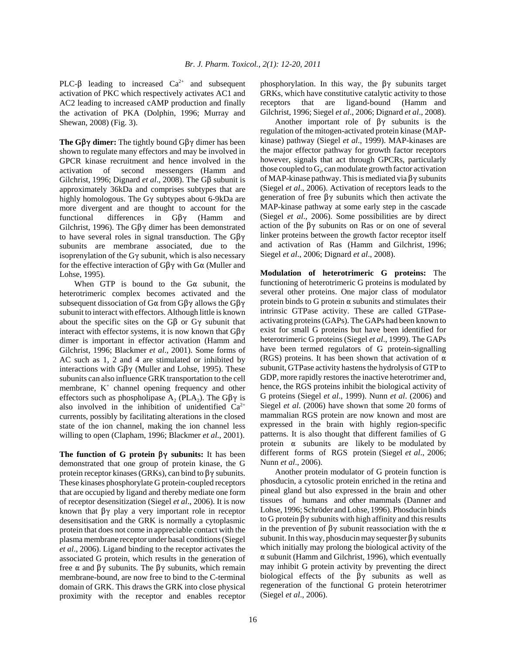PLC- $\beta$  leading to increased Ca<sup>2+</sup> and subsequent activation of PKC which respectively activates AC1 and AC2 leading to increased cAMP production and finally the activation of PKA (Dolphin, 1996; Murray and Shewan, 2008) (Fig. 3).

**The G** $\beta\gamma$  **dimer:** The tightly bound G $\beta\gamma$  dimer has been shown to regulate many effectors and may be involved in GPCR kinase recruitment and hence involved in the activation of second messengers (Hamm and Gilchrist, 1996; Dignard *et al.*, 2008). The G $\beta$  subunit is approximately 36kDa and comprises subtypes that are highly homologous. The G $\gamma$  subtypes about 6-9kDa are more divergent and are thought to account for the functional differences in  $G\beta\gamma$  (Hamm and Gilchrist, 1996). The G $\beta\gamma$  dimer has been demonstrated to have several roles in signal transduction. The  $G\beta\gamma$ subunits are membrane associated, due to the isoprenylation of the G $\gamma$  subunit, which is also necessary for the effective interaction of  $G\beta\gamma$  with  $G\alpha$  (Muller and Lohse, 1995).

When GTP is bound to the  $G\alpha$  subunit, the heterotrimeric complex becomes activated and the subsequent dissociation of  $G\alpha$  from  $G\beta\gamma$  allows the  $G\beta\gamma$ subunit to interact with effectors. Although little is known about the specific sites on the  $G\beta$  or  $G\gamma$  subunit that interact with effector systems, it is now known that  $G\beta\gamma$ dimer is important in effector activation (Hamm and Gilchrist, 1996; Blackmer *et al*., 2001). Some forms of AC such as 1, 2 and 4 are stimulated or inhibited by interactions with  $G\beta\gamma$  (Muller and Lohse, 1995). These subunits can also influence GRK transportation to the cell membrane, K<sup>+</sup> channel opening frequency and other effectors such as phospholipase A<sub>2</sub> (PLA<sub>2</sub>). The G $\beta\gamma$  is also involved in the inhibition of unidentified  $Ca^{2+}$ currents, possibly by facilitating alterations in the closed state of the ion channel, making the ion channel less willing to open (Clapham, 1996; Blackmer *et al*., 2001).

**The function of G protein**  $\beta\gamma$  **subunits:** It has been demonstrated that one group of protein kinase, the G protein receptor kinases (GRKs), can bind to  $\beta\gamma$  subunits. These kinases phosphorylate G protein-coupled receptors that are occupied by ligand and thereby mediate one form of receptor desensitization (Siegel *et al*., 2006). It is now known that  $\beta\gamma$  play a very important role in receptor desensitisation and the GRK is normally a cytoplasmic protein that does not come in appreciable contact with the plasma membrane receptor under basal conditions (Siegel *et al*., 2006). Ligand binding to the receptor activates the associated G protein, which results in the generation of free  $\alpha$  and  $\beta\gamma$  subunits. The  $\beta\gamma$  subunits, which remain membrane-bound, are now free to bind to the C-terminal domain of GRK. This draws the GRK into close physical proximity with the receptor and enables receptor

phosphorylation. In this way, the  $\beta\gamma$  subunits target GRKs, which have constitutive catalytic activity to those receptors that are ligand-bound (Hamm and Gilchrist, 1996; Siegel *et al*., 2006; Dignard *et al*., 2008).

Another important role of  $\beta\gamma$  subunits is the regulation of the mitogen-activated protein kinase (MAPkinase) pathway (Siegel *et al*., 1999). MAP-kinases are the major effector pathway for growth factor receptors however, signals that act through GPCRs, particularly those coupled to  $G_i$ , can modulate growth factor activation of MAP-kinase pathway. This is mediated via  $\beta\gamma$  subunits (Siegel *et al*., 2006). Activation of receptors leads to the generation of free  $\beta\gamma$  subunits which then activate the MAP-kinase pathway at some early step in the cascade (Siegel *et al*., 2006). Some possibilities are by direct action of the  $\beta\gamma$  subunits on Ras or on one of several linker proteins between the growth factor receptor itself and activation of Ras (Hamm and Gilchrist, 1996; Siegel *et al*., 2006; Dignard *et al*., 2008).

**Modulation of heterotrimeric G proteins:** The functioning of heterotrimeric G proteins is modulated by several other proteins. One major class of modulator protein binds to G protein  $\alpha$  subunits and stimulates their intrinsic GTPase activity. These are called GTPaseactivating proteins (GAPs). The GAPs had been known to exist for small G proteins but have been identified for heterotrimeric G proteins (Siegel *et al*., 1999). The GAPs have been termed regulators of G protein-signalling (RGS) proteins. It has been shown that activation of  $\alpha$ subunit, GTPase activity hastens the hydrolysis of GTP to GDP, more rapidly restores the inactive heterotrimer and, hence, the RGS proteins inhibit the biological activity of G proteins (Siegel *et al*., 1999). Nunn *et al*. (2006) and Siegel *et al*. (2006) have shown that some 20 forms of mammalian RGS protein are now known and most are expressed in the brain with highly region-specific patterns. It is also thought that different families of G protein  $\alpha$  subunits are likely to be modulated by different forms of RGS protein (Siegel *et al*., 2006; Nunn *et al*., 2006).

Another protein modulator of G protein function is phosducin, a cytosolic protein enriched in the retina and pineal gland but also expressed in the brain and other tissues of humans and other mammals (Danner and Lohse, 1996; Schröder and Lohse, 1996). Phosducin binds to G protein  $\beta\gamma$  subunits with high affinity and this results in the prevention of  $\beta\gamma$  subunit reassociation with the  $\alpha$ subunit. In this way, phosducin may sequester  $\beta\gamma$  subunits which initially may prolong the biological activity of the  $\alpha$  subunit (Hamm and Gilchrist, 1996), which eventually may inhibit G protein activity by preventing the direct biological effects of the  $\beta\gamma$  subunits as well as regeneration of the functional G protein heterotrimer (Siegel *et al*., 2006).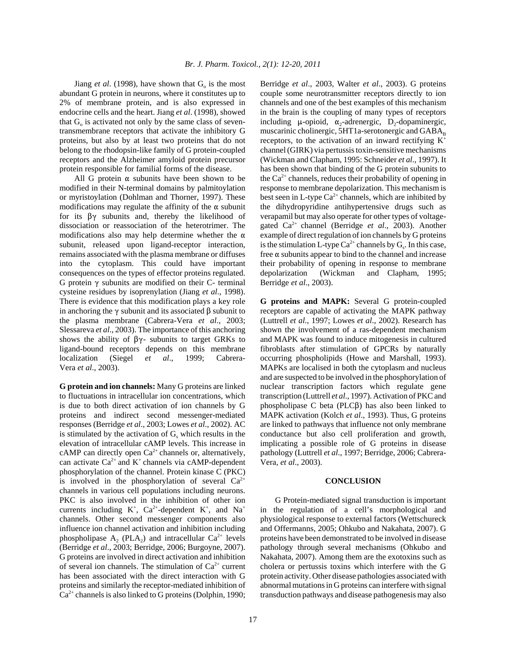Jiang *et al.* (1998), have shown that  $G_0$  is the most abundant G protein in neurons, where it constitutes up to 2% of membrane protein, and is also expressed in endocrine cells and the heart. Jiang *et al*. (1998), showed that  $G_0$  is activated not only by the same class of seventransmembrane receptors that activate the inhibitory G proteins, but also by at least two proteins that do not belong to the rhodopsin-like family of G protein-coupled receptors and the Alzheimer amyloid protein precursor protein responsible for familial forms of the disease.

All G protein  $\alpha$  subunits have been shown to be modified in their N-terminal domains by palmitoylation or myristoylation (Dohlman and Thorner, 1997). These modifications may regulate the affinity of the  $\alpha$  subunit for its  $\beta\gamma$  subunits and, thereby the likelihood of dissociation or reassociation of the heterotrimer. The modifications also may help determine whether the  $\alpha$ subunit, released upon ligand-receptor interaction, remains associated with the plasma membrane or diffuses into the cytoplasm. This could have important consequences on the types of effector proteins regulated. G protein  $\gamma$  subunits are modified on their C- terminal cysteine residues by isoprenylation (Jiang *et al*., 1998). There is evidence that this modification plays a key role in anchoring the  $\gamma$  subunit and its associated  $\beta$  subunit to the plasma membrane (Cabrera-Vera *et al*., 2003; Slessareva *et al*., 2003). The importance of this anchoring shows the ability of  $\beta\gamma$ - subunits to target GRKs to ligand-bound receptors depends on this membrane localization (Siegel *et al*., 1999; Cabrera-Vera *et al*., 2003).

**G protein and ion channels:** Many G proteins are linked to fluctuations in intracellular ion concentrations, which is due to both direct activation of ion channels by G proteins and indirect second messenger-mediated responses (Berridge *et al*., 2003; Lowes *et al*., 2002). AC is stimulated by the activation of  $G<sub>s</sub>$  which results in the elevation of intracellular cAMP levels. This increase in cAMP can directly open  $Ca^{2+}$  channels or, alternatively, can activate  $Ca^{2+}$  and  $K^+$  channels via cAMP-dependent phosphorylation of the channel. Protein kinase C (PKC) is involved in the phosphorylation of several  $Ca^{2+}$ channels in various cell populations including neurons. PKC is also involved in the inhibition of other ion currents including  $K^+$ ,  $Ca^{2+}$ -dependent  $K^+$ , and  $Na^+$ channels. Other second messenger components also influence ion channel activation and inhibition including phospholipase A<sub>2</sub> (PLA<sub>2</sub>) and intracellular Ca<sup>2+</sup> levels (Berridge *et al*., 2003; Berridge, 2006; Burgoyne, 2007). G proteins are involved in direct activation and inhibition of several ion channels. The stimulation of  $Ca^{2+}$  current has been associated with the direct interaction with G proteins and similarly the receptor-mediated inhibition of  $Ca<sup>2+</sup>$  channels is also linked to G proteins (Dolphin, 1990; Berridge *et al*., 2003, Walter *et al*., 2003). G proteins couple some neurotransmitter receptors directly to ion channels and one of the best examples of this mechanism in the brain is the coupling of many types of receptors including  $\mu$ -opioid,  $\alpha_2$ -adrenergic, D<sub>2</sub>-dopaminergic, muscarinic cholinergic, 5HT1a-serotonergic and  $GABA_B$ receptors, to the activation of an inward rectifying  $K^+$ channel (GIRK) via pertussis toxin-sensitive mechanisms (Wickman and Clapham, 1995: Schneider *et al*., 1997). It has been shown that binding of the G protein subunits to the  $Ca^{2+}$  channels, reduces their probability of opening in response to membrane depolarization. This mechanism is best seen in L-type  $Ca^{2+}$  channels, which are inhibited by the dihydropyridine antihypertensive drugs such as verapamil but may also operate for other types of voltagegated Ca2+ channel (Berridge *et al*., 2003). Another example of direct regulation of ion channels by G proteins is the stimulation L-type  $Ca^{2+}$  channels by  $G_s$ . In this case, free  $\alpha$  subunits appear to bind to the channel and increase their probability of opening in response to membrane depolarization (Wickman and Clapham, 1995; Berridge *et al*., 2003).

**G proteins and MAPK:** Several G protein-coupled receptors are capable of activating the MAPK pathway (Luttrell *et al*., 1997; Lowes *et al*., 2002). Research has shown the involvement of a ras-dependent mechanism and MAPK was found to induce mitogenesis in cultured fibroblasts after stimulation of GPCRs by naturally occurring phospholipids (Howe and Marshall, 1993). MAPKs are localised in both the cytoplasm and nucleus and are suspected to be involved in the phosphorylation of nuclear transcription factors which regulate gene transcription (Luttrell *et al*., 1997). Activation of PKC and phospholipase C beta ( $PLC\beta$ ) has also been linked to MAPK activation (Kolch *et al*., 1993). Thus, G proteins are linked to pathways that influence not only membrane conductance but also cell proliferation and growth, implicating a possible role of G proteins in disease pathology (Luttrell *et al*., 1997; Berridge, 2006; Cabrera-Vera, *et al*., 2003).

## **CONCLUSION**

G Protein-mediated signal transduction is important in the regulation of a cell's morphological and physiological response to external factors (Wettschureck and Offermanns, 2005; Ohkubo and Nakahata, 2007). G proteins have been demonstrated to be involved in disease pathology through several mechanisms (Ohkubo and Nakahata, 2007). Among them are the exotoxins such as cholera or pertussis toxins which interfere with the G protein activity. Other disease pathologies associated with abnormal mutations in G proteins can interfere with signal transduction pathways and disease pathogenesis may also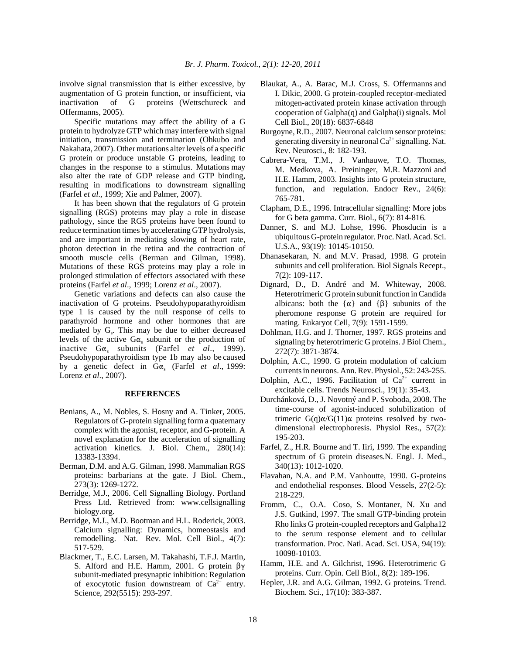involve signal transmission that is either excessive, by augmentation of G protein function, or insufficient, via inactivation of G proteins (Wettschureck and Offermanns, 2005).

Specific mutations may affect the ability of a G protein to hydrolyze GTP which may interfere with signal initiation, transmission and termination (Ohkubo and Nakahata, 2007). Other mutations alter levels of a specific G protein or produce unstable G proteins, leading to changes in the response to a stimulus. Mutations may also alter the rate of GDP release and GTP binding, resulting in modifications to downstream signalling (Farfel *et al*., 1999; Xie and Palmer, 2007).

It has been shown that the regulators of G protein signalling (RGS) proteins may play a role in disease pathology, since the RGS proteins have been found to reduce termination times by accelerating GTP hydrolysis, and are important in mediating slowing of heart rate, photon detection in the retina and the contraction of smooth muscle cells (Berman and Gilman, 1998). Mutations of these RGS proteins may play a role in prolonged stimulation of effectors associated with these proteins (Farfel *et al*., 1999; Lorenz *et al*., 2007).

Genetic variations and defects can also cause the inactivation of G proteins. Pseudohypoparathyroidism type 1 is caused by the null response of cells to parathyroid hormone and other hormones that are mediated by  $G_s$ . This may be due to either decreased levels of the active  $G\alpha_s$  subunit or the production of inactive Ga, subunits (Farfel *et al.*, 1999). Pseudohypoparathyroidism type 1b may also be caused by a genetic defect in  $Ga_{s}$  (Farfel *et al.*, 1999: Lorenz *et al*., 2007).

### **REFERENCES**

- Benians, A., M. Nobles, S. Hosny and A. Tinker, 2005. Regulators of G-protein signalling form a quaternary complex with the agonist, receptor, and G-protein. A novel explanation for the acceleration of signalling activation kinetics. J. Biol. Chem., 280(14): 13383-13394.
- Berman, D.M. and A.G. Gilman, 1998. Mammalian RGS proteins: barbarians at the gate. J Biol. Chem., 273(3): 1269-1272.
- Berridge, M.J., 2006. Cell Signalling Biology. Portland Press Ltd. Retrieved from: www.cellsignalling biology.org.
- Berridge, M.J., M.D. Bootman and H.L. Roderick, 2003. Calcium signalling: Dynamics, homeostasis and remodelling. Nat. Rev. Mol. Cell Biol., 4(7): 517-529.
- Blackmer, T., E.C. Larsen, M. Takahashi, T.F.J. Martin, S. Alford and H.E. Hamm, 2001. G protein  $\beta\gamma$ subunit-mediated presynaptic inhibition: Regulation of exocytotic fusion downstream of  $Ca^{2+}$  entry. Science, 292(5515): 293-297.
- Blaukat, A., A. Barac, M.J. Cross, S. Offermanns and I. Dikic, 2000. G protein-coupled receptor-mediated mitogen-activated protein kinase activation through cooperation of Galpha(q) and Galpha(i) signals. Mol Cell Biol., 20(18): 6837-6848
- Burgoyne, R.D., 2007. Neuronal calcium sensor proteins: generating diversity in neuronal  $Ca^{2+}$  signalling. Nat. Rev. Neurosci., 8: 182-193.
- Cabrera-Vera, T.M., J. Vanhauwe, T.O. Thomas, M. Medkova, A. Preininger, M.R. Mazzoni and H.E. Hamm, 2003. Insights into G protein structure, function, and regulation. Endocr Rev., 24(6): 765-781.
- Clapham, D.E., 1996. Intracellular signalling: More jobs for G beta gamma. Curr. Biol., 6(7): 814-816.
- Danner, S. and M.J. Lohse, 1996. Phosducin is a ubiquitous G-protein regulator. Proc. Natl. Acad. Sci. U.S.A., 93(19): 10145-10150.
- Dhanasekaran, N. and M.V. Prasad, 1998. G protein subunits and cell proliferation. Biol Signals Recept., 7(2): 109-117.
- Dignard, D., D. André and M. Whiteway, 2008. Heterotrimeric G protein subunit function in Candida albicans: both the  $\{\alpha\}$  and  $\{\beta\}$  subunits of the pheromone response G protein are required for mating. Eukaryot Cell, 7(9): 1591-1599.
- Dohlman, H.G. and J. Thorner, 1997. RGS proteins and signaling by heterotrimeric G proteins. J Biol Chem., 272(7): 3871-3874.
- Dolphin, A.C., 1990. G protein modulation of calcium currents in neurons. Ann. Rev. Physiol., 52: 243-255.
- Dolphin, A.C., 1996. Facilitation of  $Ca^{2+}$  current in excitable cells. Trends Neurosci., 19(1): 35-43.
- Durchánková, D., J. Novotný and P. Svoboda, 2008. The time-course of agonist-induced solubilization of trimeric  $G(q)\alpha/G(11)\alpha$  proteins resolved by twodimensional electrophoresis. Physiol Res., 57(2): 195-203.
- Farfel, Z., H.R. Bourne and T. Iiri, 1999. The expanding spectrum of G protein diseases.N. Engl. J. Med., 340(13): 1012-1020.
- Flavahan, N.A. and P.M. Vanhoutte, 1990. G-proteins and endothelial responses. Blood Vessels, 27(2-5): 218-229.
- Fromm, C., O.A. Coso, S. Montaner, N. Xu and J.S. Gutkind, 1997. The small GTP-binding protein Rho links G protein-coupled receptors and Galpha12 to the serum response element and to cellular transformation. Proc. Natl. Acad. Sci. USA, 94(19): 10098-10103.
- Hamm, H.E. and A. Gilchrist, 1996. Heterotrimeric G proteins. Curr. Opin. Cell Biol., 8(2): 189-196.
- Hepler, J.R. and A.G. Gilman, 1992. G proteins. Trend. Biochem. Sci., 17(10): 383-387.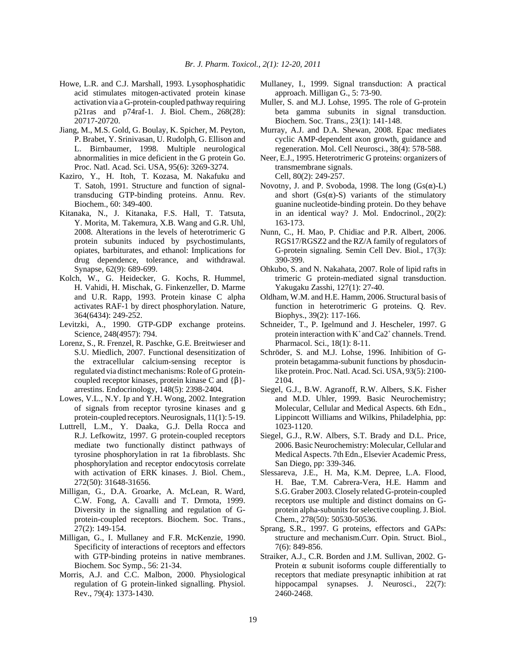- Howe, L.R. and C.J. Marshall, 1993. Lysophosphatidic acid stimulates mitogen-activated protein kinase activation via a G-protein-coupled pathway requiring p21ras and p74raf-1. J. Biol. Chem., 268(28): 20717-20720.
- Jiang, M., M.S. Gold, G. Boulay, K. Spicher, M. Peyton, P. Brabet, Y. Srinivasan, U. Rudolph, G. Ellison and L. Birnbaumer, 1998. Multiple neurological abnormalities in mice deficient in the G protein Go. Proc. Natl. Acad. Sci. USA, 95(6): 3269-3274.
- Kaziro, Y., H. Itoh, T. Kozasa, M. Nakafuku and T. Satoh, 1991. Structure and function of signaltransducing GTP-binding proteins. Annu. Rev. Biochem., 60: 349-400.
- Kitanaka, N., J. Kitanaka, F.S. Hall, T. Tatsuta, Y. Morita, M. Takemura, X.B. Wang and G.R. Uhl, 2008. Alterations in the levels of heterotrimeric G protein subunits induced by psychostimulants, opiates, barbiturates, and ethanol: Implications for drug dependence, tolerance, and withdrawal. Synapse, 62(9): 689-699.
- Kolch, W., G. Heidecker, G. Kochs, R. Hummel, H. Vahidi, H. Mischak, G. Finkenzeller, D. Marme and U.R. Rapp, 1993. Protein kinase C alpha activates RAF-1 by direct phosphorylation. Nature, 364(6434): 249-252.
- Levitzki, A., 1990. GTP-GDP exchange proteins. Science, 248(4957): 794.
- Lorenz, S., R. Frenzel, R. Paschke, G.E. Breitwieser and S.U. Miedlich, 2007. Functional desensitization of the extracellular calcium-sensing receptor is regulated via distinct mechanisms: Role of G proteincoupled receptor kinases, protein kinase C and  $\{\beta\}$ arrestins. Endocrinology, 148(5): 2398-2404.
- Lowes, V.L., N.Y. Ip and Y.H. Wong, 2002. Integration of signals from receptor tyrosine kinases and g protein-coupled receptors. Neurosignals, 11(1): 5-19.
- Luttrell, L.M., Y. Daaka, G.J. Della Rocca and R.J. Lefkowitz, 1997. G protein-coupled receptors mediate two functionally distinct pathways of tyrosine phosphorylation in rat 1a fibroblasts. Shc phosphorylation and receptor endocytosis correlate with activation of ERK kinases. J. Biol. Chem., 272(50): 31648-31656.
- Milligan, G., D.A. Groarke, A. McLean, R. Ward, C.W. Fong, A. Cavalli and T. Drmota, 1999. Diversity in the signalling and regulation of Gprotein-coupled receptors. Biochem. Soc. Trans., 27(2): 149-154.
- Milligan, G., I. Mullaney and F.R. McKenzie, 1990. Specificity of interactions of receptors and effectors with GTP-binding proteins in native membranes. Biochem. Soc Symp., 56: 21-34.
- Morris, A.J. and C.C. Malbon, 2000. Physiological regulation of G protein-linked signalling. Physiol. Rev., 79(4): 1373-1430.
- Mullaney, I., 1999. Signal transduction: A practical approach. Milligan G., 5: 73-90.
- Muller, S. and M.J. Lohse, 1995. The role of G-protein beta gamma subunits in signal transduction. Biochem. Soc. Trans., 23(1): 141-148.
- Murray, A.J. and D.A. Shewan, 2008. Epac mediates cyclic AMP-dependent axon growth, guidance and regeneration. Mol. Cell Neurosci., 38(4): 578-588.
- Neer, E.J., 1995. Heterotrimeric G proteins: organizers of transmembrane signals. Cell, 80(2): 249-257.
- Novotny, J. and P. Svoboda, 1998. The long  $(Gs(\alpha)-L)$ and short  $(Gs(\alpha)-S)$  variants of the stimulatory guanine nucleotide-binding protein. Do they behave in an identical way? J. Mol. Endocrinol., 20(2): 163-173.
- Nunn, C., H. Mao, P. Chidiac and P.R. Albert, 2006. RGS17/RGSZ2 and the RZ/A family of regulators of G-protein signaling. Semin Cell Dev. Biol., 17(3): 390-399.
- Ohkubo, S. and N. Nakahata, 2007. Role of lipid rafts in trimeric G protein-mediated signal transduction. Yakugaku Zasshi, 127(1): 27-40.
- Oldham, W.M. and H.E. Hamm, 2006. Structural basis of function in heterotrimeric G proteins. Q. Rev. Biophys., 39(2): 117-166.
- Schneider, T., P. Igelmund and J. Hescheler, 1997. G protein interaction with  $K^+$  and  $Ca2^+$  channels. Trend. Pharmacol. Sci., 18(1): 8-11.
- Schröder, S. and M.J. Lohse, 1996. Inhibition of Gprotein betagamma-subunit functions by phosducinlike protein. Proc. Natl. Acad. Sci. USA, 93(5): 2100- 2104.
- Siegel, G.J., B.W. Agranoff, R.W. Albers, S.K. Fisher and M.D. Uhler, 1999. Basic Neurochemistry; Molecular, Cellular and Medical Aspects. 6th Edn., Lippincott Williams and Wilkins, Philadelphia, pp: 1023-1120.
- Siegel, G.J., R.W. Albers, S.T. Brady and D.L. Price, 2006. Basic Neurochemistry: Molecular, Cellular and Medical Aspects. 7th Edn., Elsevier Academic Press, San Diego, pp: 339-346.
- Slessareva, J.E., H. Ma, K.M. Depree, L.A. Flood, H. Bae, T.M. Cabrera-Vera, H.E. Hamm and S.G. Graber 2003. Closely related G-protein-coupled receptors use multiple and distinct domains on Gprotein alpha-subunits for selective coupling. J. Biol. Chem., 278(50): 50530-50536.
- Sprang, S.R., 1997. G proteins, effectors and GAPs: structure and mechanism.Curr. Opin. Struct. Biol., 7(6): 849-856.
- Straiker, A.J., C.R. Borden and J.M. Sullivan, 2002. G-Protein  $\alpha$  subunit isoforms couple differentially to receptors that mediate presynaptic inhibition at rat hippocampal synapses. J. Neurosci., 22(7): 2460-2468.